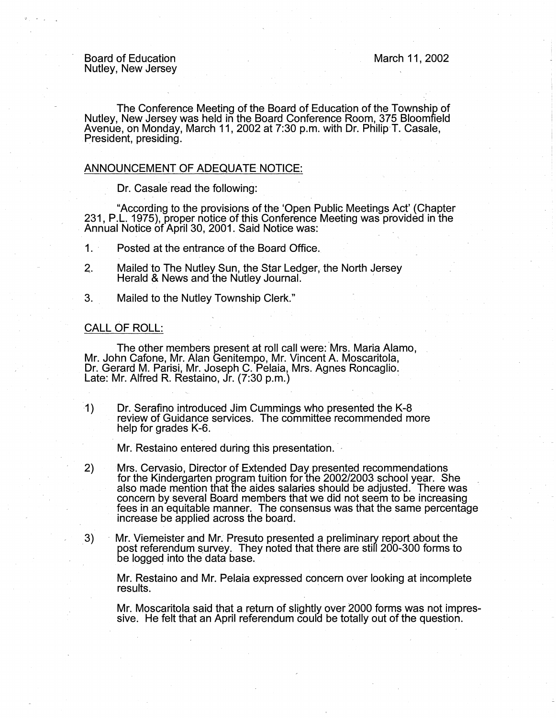Board of Education Nutley, New Jersey March 11, 2002

The Conference Meeting of the Board of Education of the Township of Nutley, New Jersey was held in the Board Conference Room, 375 Bloomfield Avenue, on Monday, March 11, 2002 at 7:30 p.m. with Dr. Philip T. Casale, President, presiding.

### ANNOUNCEMENT OF ADEQUATE NOTICE:

Dr. Casale read the following:

"According to the provisions of the 'Open Public Meetings Act' (Chapter 231, P.L. 1975), proper notice of this Conference Meeting was provided in the Annual Notice of April 30, 2001. Said Notice was: .

1. Posted at the entrance of the Board Office.

- 2. Mailed to The Nutley Sun, the Star Ledger, the North Jersey Herald & News and the Nutley Journal.
- 3. Mailed to the Nutley Township Clerk."

#### CALL OF ROLL:

3)

The other members present at roll call were: Mrs. Maria Alamo, Mr. John Cafone, Mr. Alan Genitempo, Mr. Vincent A. Moscaritola, Dr. Gerard M. Parisi, Mr. Joseph C. Pelaia, Mrs. Agnes Roncaglio. Late: Mr. Alfred R. Restaino, Jr. (7:30 p.m.) ·

1) Dr. Serafino introduced Jim Cummings whp presented the K-8 review of Guidance services. The committee recommended more help for grades K-6.

Mr. Restaino entered during this presentation.

- 2) Mrs. Gervasio, Director of Extended Day presented recommendations for the Kindergarten program tuition for the 2002/2003 school year. She also made mention that the aides salaries should be adjusted. There was concern by several Board members that we did not seem to be increasing fees in an equitable manner. The consensus was that the same percentage increase be applied across the board.
	- Mr. Viemeister and Mr. Presuto presented a preliminary report about the post referendum survey. They noted that there are still 200-300 forms to be logged into the data base.

Mr. Restaino and Mr. Pelaia expressed concern over looking at incomplete results.

Mr. Moscaritola said that a return of slightly over 2000 forms was not impressive. He felt that an April referendum could be totally out of the question.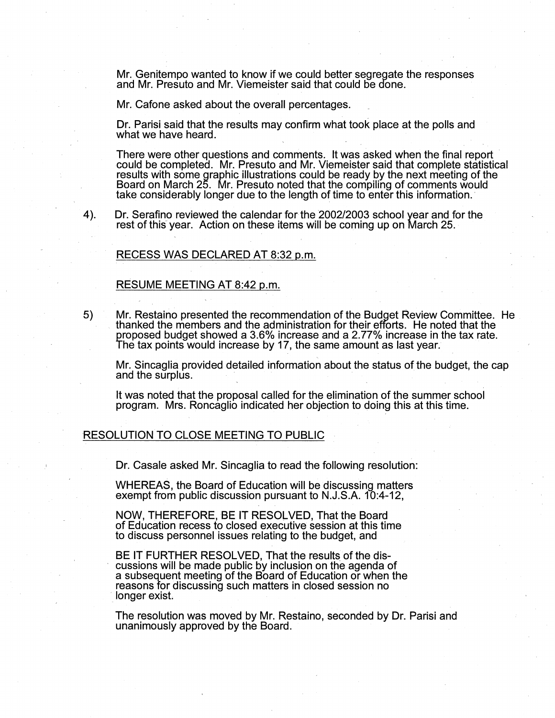Mr. Genitempo wanted to know if we could better segregate the responses and Mr. Presuto and Mr. Viemeister said that could be done.

Mr. Cafone asked about the overall percentages.

Dr. Parisi said that the results may confirm what took place at the polls and what we have heard.

There were other questions and comments. It was asked when the final report could be completed. Mr. Presuto and Mr. Viemeister said that complete statistical results with some graphic illustrations could be ready by the next meeting of the Board on March 25. Mr. Presuto noted that the compiling of comments would take considerably longer due to the length of time to enter this information.

4). Dr. Serafino reviewed the calendar for the 2002/2003 school year and for the rest of this year. Action on these items will be coming up on March 25.

#### RECESS WAS DECLARED AT 8:32 p.m.

### RESUME MEETING AT 8:42 p.m.

5) Mr. Restaino presented the recommendation of the Budget Review Committee. He .<br>. thanked the members and the administration for their efforts. He noted that the proposed budget showed a 3.6% increase and a 2. 77% increase in the tax rate. The tax points would increase by 17, the same amount as last year.

Mr. Sincaglia provided detailed information about the status of the budget, the cap and the surplus.

It was noted that the proposal called for the elimination of the summer school program. Mrs. Roncaglio indicated her objection to doing this at this time.

### RESOLUTION TO CLOSE MEETING TO PUBLIC

Dr. Casale asked Mr. Sincaglia to read the following resolution:

WHEREAS, the Board of Education will be discussing matters exempt from public discussion pursuant to N.J.S.A. 10:4-12,

NOW, THEREFORE, BE IT RESOLVED, That the Board of Education recess to closed executive session at this time to discuss personnel issues relating to the budget, and

BE IT FURTHER RESOLVED, That the results of the discussions will be made public by inclusion on the agenda of a subsequent meeting of the Board of Education or when the reasons for discussing such matters in closed session no longer exist.

The resolution was moved by Mr. Restaino, seconded by Dr. Parisi and unanimously approved by the Board.